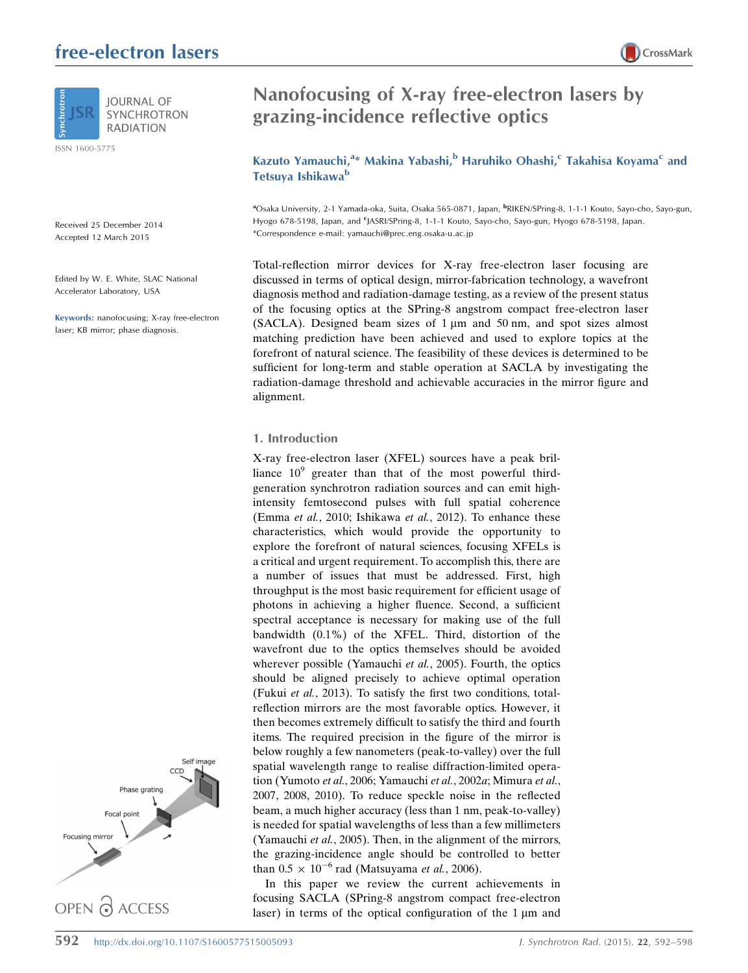# free-electron lasers



ISSN 1600-5775

Received 25 December 2014 Accepted 12 March 2015

Edited by W. E. White, SLAC National Accelerator Laboratory, USA

Keywords: nanofocusing; X-ray free-electron laser; KB mirror; phase diagnosis.





# Nanofocusing of X-ray free-electron lasers by grazing-incidence reflective optics

Kazuto Yamauchi,<sup>a</sup>\* Makina Yabashi,<sup>b</sup> Haruhiko Ohashi,<sup>c</sup> Takahisa Koyama<sup>c</sup> and Tetsuya Ishikawa<sup>b</sup>

<sup>a</sup>Osaka University, 2-1 Yamada-oka, Suita, Osaka 565-0871, Japan, <sup>b</sup>RIKEN/SPring-8, 1-1-1 Kouto, Sayo-cho, Sayo-gun, Hyogo 678-5198, Japan, and <sup>c</sup>JASRI/SPring-8, 1-1-1 Kouto, Sayo-cho, Sayo-gun, Hyogo 678-5198, Japan. \*Correspondence e-mail: yamauchi@prec.eng.osaka-u.ac.jp

Total-reflection mirror devices for X-ray free-electron laser focusing are discussed in terms of optical design, mirror-fabrication technology, a wavefront diagnosis method and radiation-damage testing, as a review of the present status of the focusing optics at the SPring-8 angstrom compact free-electron laser  $(SACLA)$ . Designed beam sizes of 1  $\mu$ m and 50 nm, and spot sizes almost matching prediction have been achieved and used to explore topics at the forefront of natural science. The feasibility of these devices is determined to be sufficient for long-term and stable operation at SACLA by investigating the radiation-damage threshold and achievable accuracies in the mirror figure and alignment.

# 1. Introduction

X-ray free-electron laser (XFEL) sources have a peak brilliance  $10^9$  greater than that of the most powerful thirdgeneration synchrotron radiation sources and can emit highintensity femtosecond pulses with full spatial coherence (Emma et al., 2010; Ishikawa et al., 2012). To enhance these characteristics, which would provide the opportunity to explore the forefront of natural sciences, focusing XFELs is a critical and urgent requirement. To accomplish this, there are a number of issues that must be addressed. First, high throughput is the most basic requirement for efficient usage of photons in achieving a higher fluence. Second, a sufficient spectral acceptance is necessary for making use of the full bandwidth (0.1%) of the XFEL. Third, distortion of the wavefront due to the optics themselves should be avoided wherever possible (Yamauchi *et al.*, 2005). Fourth, the optics should be aligned precisely to achieve optimal operation (Fukui et al., 2013). To satisfy the first two conditions, totalreflection mirrors are the most favorable optics. However, it then becomes extremely difficult to satisfy the third and fourth items. The required precision in the figure of the mirror is below roughly a few nanometers (peak-to-valley) over the full spatial wavelength range to realise diffraction-limited operation (Yumoto et al., 2006; Yamauchi et al., 2002a; Mimura et al., 2007, 2008, 2010). To reduce speckle noise in the reflected beam, a much higher accuracy (less than 1 nm, peak-to-valley) is needed for spatial wavelengths of less than a few millimeters (Yamauchi et al., 2005). Then, in the alignment of the mirrors, the grazing-incidence angle should be controlled to better than  $0.5 \times 10^{-6}$  rad (Matsuyama et al., 2006).

In this paper we review the current achievements in focusing SACLA (SPring-8 angstrom compact free-electron laser) in terms of the optical configuration of the  $1 \mu m$  and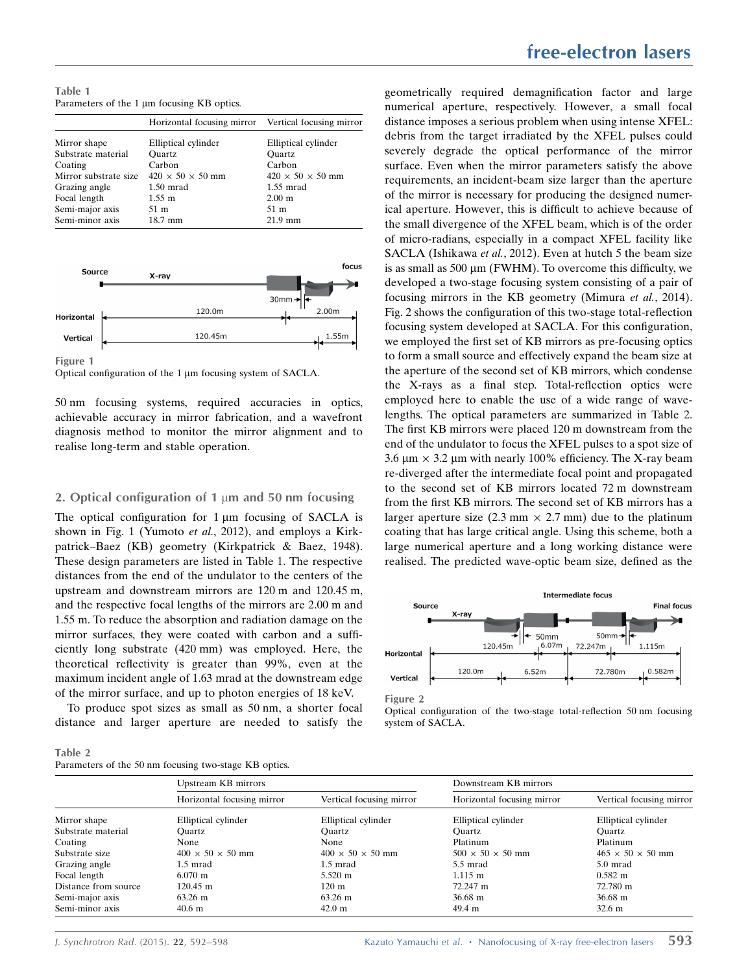Table 1 Parameters of the  $1 \mu m$  focusing KB optics.

| Horizontal focusing mirror Vertical focusing mirror |
|-----------------------------------------------------|
|                                                     |
| Elliptical cylinder                                 |
| Ouartz                                              |
| Carbon                                              |
| $420 \times 50 \times 50$ mm                        |
| $1.55$ mrad                                         |
| 2.00 <sub>m</sub>                                   |
| 51 m                                                |
| $21.9$ mm                                           |
|                                                     |



Figure 1

Optical configuration of the 1 µm focusing system of SACLA.

50 nm focusing systems, required accuracies in optics, achievable accuracy in mirror fabrication, and a wavefront diagnosis method to monitor the mirror alignment and to realise long-term and stable operation.

# 2. Optical configuration of 1  $\mu$ m and 50 nm focusing

The optical configuration for  $1 \mu m$  focusing of SACLA is shown in Fig. 1 (Yumoto et al., 2012), and employs a Kirkpatrick–Baez (KB) geometry (Kirkpatrick & Baez, 1948). These design parameters are listed in Table 1. The respective distances from the end of the undulator to the centers of the upstream and downstream mirrors are 120 m and 120.45 m, and the respective focal lengths of the mirrors are 2.00 m and 1.55 m. To reduce the absorption and radiation damage on the mirror surfaces, they were coated with carbon and a sufficiently long substrate (420 mm) was employed. Here, the theoretical reflectivity is greater than 99%, even at the maximum incident angle of 1.63 mrad at the downstream edge of the mirror surface, and up to photon energies of 18 keV.

To produce spot sizes as small as 50 nm, a shorter focal distance and larger aperture are needed to satisfy the

# free-electron lasers

geometrically required demagnification factor and large numerical aperture, respectively. However, a small focal distance imposes a serious problem when using intense XFEL: debris from the target irradiated by the XFEL pulses could severely degrade the optical performance of the mirror surface. Even when the mirror parameters satisfy the above requirements, an incident-beam size larger than the aperture of the mirror is necessary for producing the designed numerical aperture. However, this is difficult to achieve because of the small divergence of the XFEL beam, which is of the order of micro-radians, especially in a compact XFEL facility like SACLA (Ishikawa et al., 2012). Even at hutch 5 the beam size is as small as 500  $\mu$ m (FWHM). To overcome this difficulty, we developed a two-stage focusing system consisting of a pair of focusing mirrors in the KB geometry (Mimura et al., 2014). Fig. 2 shows the configuration of this two-stage total-reflection focusing system developed at SACLA. For this configuration, we employed the first set of KB mirrors as pre-focusing optics to form a small source and effectively expand the beam size at the aperture of the second set of KB mirrors, which condense the X-rays as a final step. Total-reflection optics were employed here to enable the use of a wide range of wavelengths. The optical parameters are summarized in Table 2. The first KB mirrors were placed 120 m downstream from the end of the undulator to focus the XFEL pulses to a spot size of 3.6  $\mu$ m  $\times$  3.2  $\mu$ m with nearly 100% efficiency. The X-ray beam re-diverged after the intermediate focal point and propagated to the second set of KB mirrors located 72 m downstream from the first KB mirrors. The second set of KB mirrors has a larger aperture size  $(2.3 \text{ mm} \times 2.7 \text{ mm})$  due to the platinum coating that has large critical angle. Using this scheme, both a large numerical aperture and a long working distance were realised. The predicted wave-optic beam size, defined as the



Figure 2

| Table 2 |                                                       |  |  |
|---------|-------------------------------------------------------|--|--|
|         | Parameters of the 50 nm focusing two-stage KB optics. |  |  |

| I did necess of the 50 nm focusing two stage RD optics. |                              |                              |                              |                              |  |  |  |  |
|---------------------------------------------------------|------------------------------|------------------------------|------------------------------|------------------------------|--|--|--|--|
|                                                         | Upstream KB mirrors          |                              | Downstream KB mirrors        |                              |  |  |  |  |
|                                                         | Horizontal focusing mirror   | Vertical focusing mirror     | Horizontal focusing mirror   | Vertical focusing mirror     |  |  |  |  |
| Mirror shape                                            | Elliptical cylinder          | Elliptical cylinder          | Elliptical cylinder          | Elliptical cylinder          |  |  |  |  |
| Substrate material                                      | Ouartz                       | Ouartz                       | Ouartz                       | Ouartz                       |  |  |  |  |
| Coating                                                 | None                         | None                         | Platinum                     | Platinum                     |  |  |  |  |
| Substrate size                                          | $400 \times 50 \times 50$ mm | $400 \times 50 \times 50$ mm | $500 \times 50 \times 50$ mm | $465 \times 50 \times 50$ mm |  |  |  |  |
| Grazing angle                                           | 1.5 mrad                     | $1.5 \text{ mrad}$           | $5.5$ mrad                   | 5.0 mrad                     |  |  |  |  |
| Focal length                                            | $6.070 \; \mathrm{m}$        | 5.520 m                      | $1.115 \; \mathrm{m}$        | $0.582 \; \mathrm{m}$        |  |  |  |  |
| Distance from source                                    | 120.45 m                     | $120 \text{ m}$              | 72.247 m                     | 72.780 m                     |  |  |  |  |
| Semi-major axis                                         | 63.26 m                      | 63.26 m                      | $36.68 \; \mathrm{m}$        | $36.68 \text{ m}$            |  |  |  |  |
| Semi-minor axis                                         | $40.6$ m                     | $42.0 \text{ m}$             | 49.4 m                       | $32.6 \text{ m}$             |  |  |  |  |

Optical configuration of the two-stage total-reflection 50 nm focusing system of SACLA.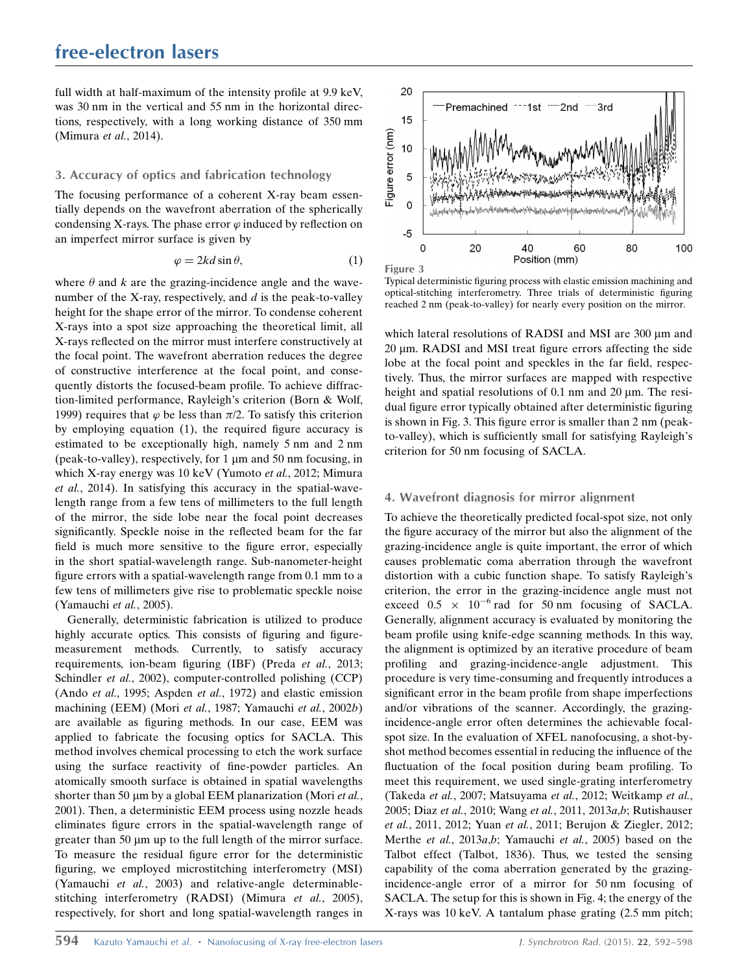full width at half-maximum of the intensity profile at 9.9 keV, was 30 nm in the vertical and 55 nm in the horizontal directions, respectively, with a long working distance of 350 mm (Mimura et al., 2014).

# 3. Accuracy of optics and fabrication technology

The focusing performance of a coherent X-ray beam essentially depends on the wavefront aberration of the spherically condensing X-rays. The phase error  $\varphi$  induced by reflection on an imperfect mirror surface is given by

$$
\varphi = 2kd\sin\theta,\tag{1}
$$

where  $\theta$  and k are the grazing-incidence angle and the wavenumber of the X-ray, respectively, and  $d$  is the peak-to-valley height for the shape error of the mirror. To condense coherent X-rays into a spot size approaching the theoretical limit, all X-rays reflected on the mirror must interfere constructively at the focal point. The wavefront aberration reduces the degree of constructive interference at the focal point, and consequently distorts the focused-beam profile. To achieve diffraction-limited performance, Rayleigh's criterion (Born & Wolf, 1999) requires that  $\varphi$  be less than  $\pi/2$ . To satisfy this criterion by employing equation (1), the required figure accuracy is estimated to be exceptionally high, namely 5 nm and 2 nm (peak-to-valley), respectively, for  $1 \mu m$  and  $50 \mu m$  focusing, in which X-ray energy was 10 keV (Yumoto et al., 2012; Mimura et al., 2014). In satisfying this accuracy in the spatial-wavelength range from a few tens of millimeters to the full length of the mirror, the side lobe near the focal point decreases significantly. Speckle noise in the reflected beam for the far field is much more sensitive to the figure error, especially in the short spatial-wavelength range. Sub-nanometer-height figure errors with a spatial-wavelength range from 0.1 mm to a few tens of millimeters give rise to problematic speckle noise (Yamauchi et al., 2005).

Generally, deterministic fabrication is utilized to produce highly accurate optics. This consists of figuring and figuremeasurement methods. Currently, to satisfy accuracy requirements, ion-beam figuring (IBF) (Preda et al., 2013; Schindler et al., 2002), computer-controlled polishing (CCP) (Ando et al., 1995; Aspden et al., 1972) and elastic emission machining (EEM) (Mori et al., 1987; Yamauchi et al., 2002b) are available as figuring methods. In our case, EEM was applied to fabricate the focusing optics for SACLA. This method involves chemical processing to etch the work surface using the surface reactivity of fine-powder particles. An atomically smooth surface is obtained in spatial wavelengths shorter than 50  $\mu$ m by a global EEM planarization (Mori *et al.*, 2001). Then, a deterministic EEM process using nozzle heads eliminates figure errors in the spatial-wavelength range of greater than 50  $\mu$ m up to the full length of the mirror surface. To measure the residual figure error for the deterministic figuring, we employed microstitching interferometry (MSI) (Yamauchi et al., 2003) and relative-angle determinablestitching interferometry (RADSI) (Mimura et al., 2005), respectively, for short and long spatial-wavelength ranges in



Typical deterministic figuring process with elastic emission machining and optical-stitching interferometry. Three trials of deterministic figuring reached 2 nm (peak-to-valley) for nearly every position on the mirror.

which lateral resolutions of RADSI and MSI are 300  $\mu$ m and  $20 \mu m$ . RADSI and MSI treat figure errors affecting the side lobe at the focal point and speckles in the far field, respectively. Thus, the mirror surfaces are mapped with respective height and spatial resolutions of  $0.1$  nm and  $20 \mu$ m. The residual figure error typically obtained after deterministic figuring is shown in Fig. 3. This figure error is smaller than 2 nm (peakto-valley), which is sufficiently small for satisfying Rayleigh's criterion for 50 nm focusing of SACLA.

# 4. Wavefront diagnosis for mirror alignment

To achieve the theoretically predicted focal-spot size, not only the figure accuracy of the mirror but also the alignment of the grazing-incidence angle is quite important, the error of which causes problematic coma aberration through the wavefront distortion with a cubic function shape. To satisfy Rayleigh's criterion, the error in the grazing-incidence angle must not exceed  $0.5 \times 10^{-6}$  rad for 50 nm focusing of SACLA. Generally, alignment accuracy is evaluated by monitoring the beam profile using knife-edge scanning methods. In this way, the alignment is optimized by an iterative procedure of beam profiling and grazing-incidence-angle adjustment. This procedure is very time-consuming and frequently introduces a significant error in the beam profile from shape imperfections and/or vibrations of the scanner. Accordingly, the grazingincidence-angle error often determines the achievable focalspot size. In the evaluation of XFEL nanofocusing, a shot-byshot method becomes essential in reducing the influence of the fluctuation of the focal position during beam profiling. To meet this requirement, we used single-grating interferometry (Takeda et al., 2007; Matsuyama et al., 2012; Weitkamp et al., 2005; Diaz et al., 2010; Wang et al., 2011, 2013a,b; Rutishauser et al., 2011, 2012; Yuan et al., 2011; Berujon & Ziegler, 2012; Merthe et al., 2013a,b; Yamauchi et al., 2005) based on the Talbot effect (Talbot, 1836). Thus, we tested the sensing capability of the coma aberration generated by the grazingincidence-angle error of a mirror for 50 nm focusing of SACLA. The setup for this is shown in Fig. 4; the energy of the X-rays was 10 keV. A tantalum phase grating (2.5 mm pitch;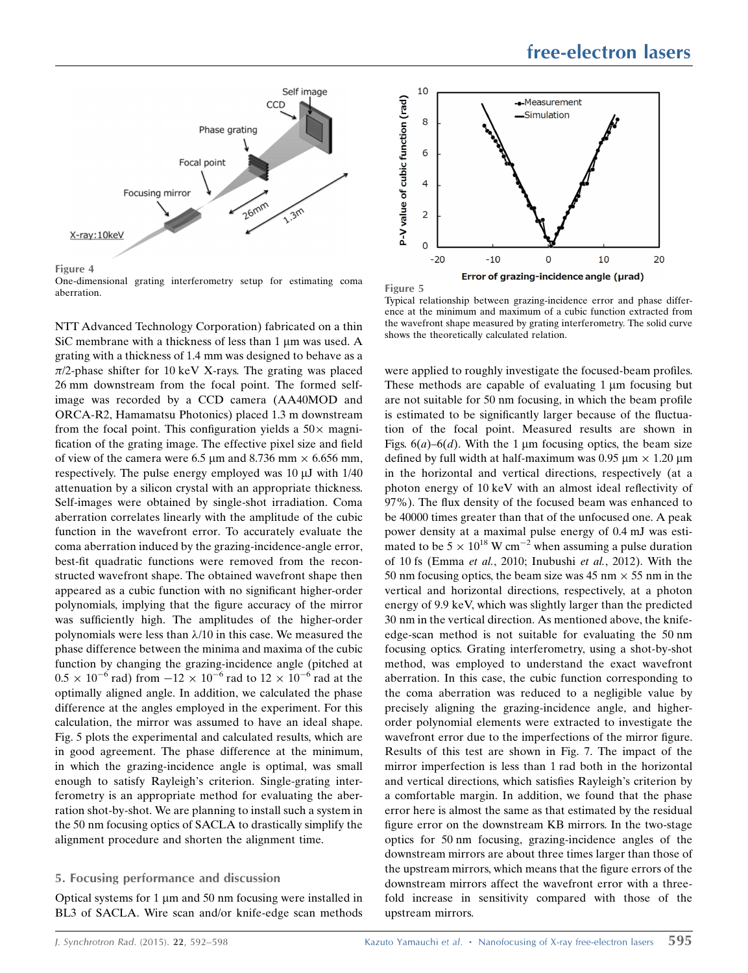

Figure 4

One-dimensional grating interferometry setup for estimating coma aberration.

NTT Advanced Technology Corporation) fabricated on a thin SiC membrane with a thickness of less than  $1 \mu$ m was used. A grating with a thickness of 1.4 mm was designed to behave as a  $\pi/2$ -phase shifter for 10 keV X-rays. The grating was placed 26 mm downstream from the focal point. The formed selfimage was recorded by a CCD camera (AA40MOD and ORCA-R2, Hamamatsu Photonics) placed 1.3 m downstream from the focal point. This configuration yields a  $50\times$  magnification of the grating image. The effective pixel size and field of view of the camera were 6.5  $\mu$ m and 8.736 mm  $\times$  6.656 mm, respectively. The pulse energy employed was  $10 \mu J$  with  $1/40$ attenuation by a silicon crystal with an appropriate thickness. Self-images were obtained by single-shot irradiation. Coma aberration correlates linearly with the amplitude of the cubic function in the wavefront error. To accurately evaluate the coma aberration induced by the grazing-incidence-angle error, best-fit quadratic functions were removed from the reconstructed wavefront shape. The obtained wavefront shape then appeared as a cubic function with no significant higher-order polynomials, implying that the figure accuracy of the mirror was sufficiently high. The amplitudes of the higher-order polynomials were less than  $\lambda/10$  in this case. We measured the phase difference between the minima and maxima of the cubic function by changing the grazing-incidence angle (pitched at  $0.5 \times 10^{-6}$  rad) from  $-12 \times 10^{-6}$  rad to  $12 \times 10^{-6}$  rad at the optimally aligned angle. In addition, we calculated the phase difference at the angles employed in the experiment. For this calculation, the mirror was assumed to have an ideal shape. Fig. 5 plots the experimental and calculated results, which are in good agreement. The phase difference at the minimum, in which the grazing-incidence angle is optimal, was small enough to satisfy Rayleigh's criterion. Single-grating interferometry is an appropriate method for evaluating the aberration shot-by-shot. We are planning to install such a system in the 50 nm focusing optics of SACLA to drastically simplify the alignment procedure and shorten the alignment time.

# 5. Focusing performance and discussion

Optical systems for  $1 \mu m$  and  $50 \mu m$  focusing were installed in BL3 of SACLA. Wire scan and/or knife-edge scan methods



Figure 5

Typical relationship between grazing-incidence error and phase difference at the minimum and maximum of a cubic function extracted from the wavefront shape measured by grating interferometry. The solid curve shows the theoretically calculated relation.

were applied to roughly investigate the focused-beam profiles. These methods are capable of evaluating  $1 \mu m$  focusing but are not suitable for 50 nm focusing, in which the beam profile is estimated to be significantly larger because of the fluctuation of the focal point. Measured results are shown in Figs.  $6(a)$ – $6(d)$ . With the 1 µm focusing optics, the beam size defined by full width at half-maximum was  $0.95 \mu m \times 1.20 \mu m$ in the horizontal and vertical directions, respectively (at a photon energy of 10 keV with an almost ideal reflectivity of 97%). The flux density of the focused beam was enhanced to be 40000 times greater than that of the unfocused one. A peak power density at a maximal pulse energy of 0.4 mJ was estimated to be  $5 \times 10^{18}$  W cm<sup>-2</sup> when assuming a pulse duration of 10 fs (Emma et al., 2010; Inubushi et al., 2012). With the 50 nm focusing optics, the beam size was 45 nm  $\times$  55 nm in the vertical and horizontal directions, respectively, at a photon energy of 9.9 keV, which was slightly larger than the predicted 30 nm in the vertical direction. As mentioned above, the knifeedge-scan method is not suitable for evaluating the 50 nm focusing optics. Grating interferometry, using a shot-by-shot method, was employed to understand the exact wavefront aberration. In this case, the cubic function corresponding to the coma aberration was reduced to a negligible value by precisely aligning the grazing-incidence angle, and higherorder polynomial elements were extracted to investigate the wavefront error due to the imperfections of the mirror figure. Results of this test are shown in Fig. 7. The impact of the mirror imperfection is less than 1 rad both in the horizontal and vertical directions, which satisfies Rayleigh's criterion by a comfortable margin. In addition, we found that the phase error here is almost the same as that estimated by the residual figure error on the downstream KB mirrors. In the two-stage optics for 50 nm focusing, grazing-incidence angles of the downstream mirrors are about three times larger than those of the upstream mirrors, which means that the figure errors of the downstream mirrors affect the wavefront error with a threefold increase in sensitivity compared with those of the upstream mirrors.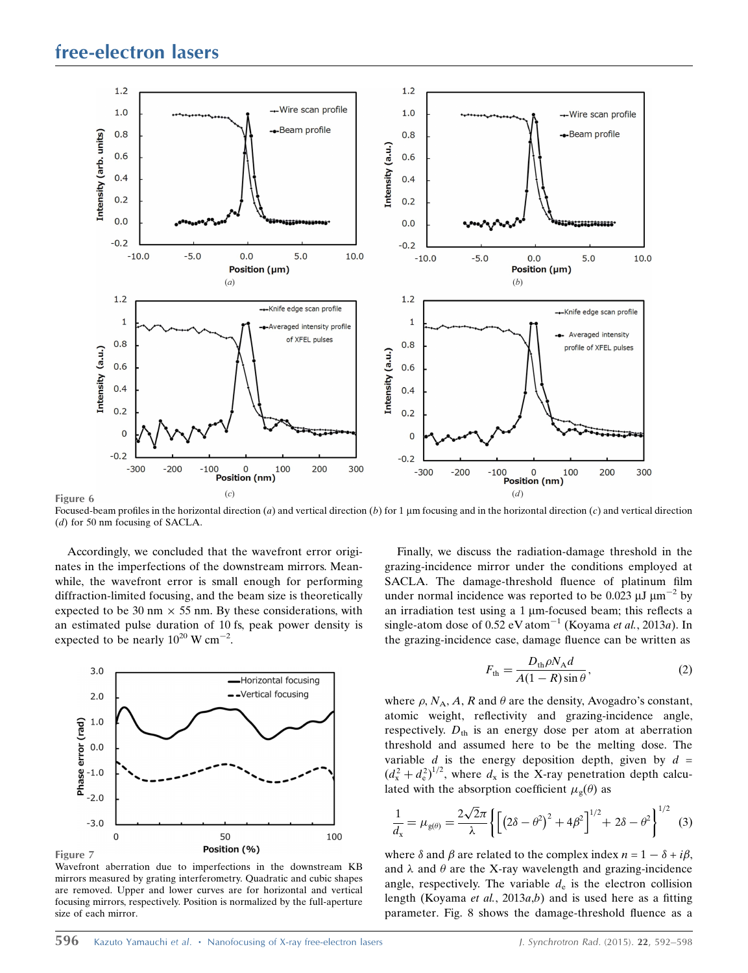

Focused-beam profiles in the horizontal direction (a) and vertical direction (b) for 1  $\mu$ m focusing and in the horizontal direction (c) and vertical direction (d) for 50 nm focusing of SACLA.

Accordingly, we concluded that the wavefront error originates in the imperfections of the downstream mirrors. Meanwhile, the wavefront error is small enough for performing diffraction-limited focusing, and the beam size is theoretically expected to be 30 nm  $\times$  55 nm. By these considerations, with an estimated pulse duration of 10 fs, peak power density is expected to be nearly  $10^{20}$  W cm<sup>-2</sup>.



Wavefront aberration due to imperfections in the downstream KB mirrors measured by grating interferometry. Quadratic and cubic shapes are removed. Upper and lower curves are for horizontal and vertical focusing mirrors, respectively. Position is normalized by the full-aperture size of each mirror.

Finally, we discuss the radiation-damage threshold in the grazing-incidence mirror under the conditions employed at SACLA. The damage-threshold fluence of platinum film under normal incidence was reported to be 0.023  $\mu$ J  $\mu$ m<sup>-2</sup> by an irradiation test using a  $1 \mu$ m-focused beam; this reflects a single-atom dose of 0.52 eV atom<sup>-1</sup> (Koyama *et al.*, 2013*a*). In the grazing-incidence case, damage fluence can be written as

$$
F_{\text{th}} = \frac{D_{\text{th}} \rho N_{\text{A}} d}{A(1 - R)\sin\theta},\tag{2}
$$

where  $\rho$ ,  $N_A$ , A, R and  $\theta$  are the density, Avogadro's constant, atomic weight, reflectivity and grazing-incidence angle, respectively.  $D_{th}$  is an energy dose per atom at aberration threshold and assumed here to be the melting dose. The variable  $d$  is the energy deposition depth, given by  $d =$  $(d_{\rm x}^2 + d_{\rm e}^2)^{1/2}$ , where  $d_{\rm x}$  is the X-ray penetration depth calculated with the absorption coefficient  $\mu_{\rm g}(\theta)$  as

$$
\frac{1}{d_{x}} = \mu_{g(\theta)} = \frac{2\sqrt{2}\pi}{\lambda} \left\{ \left[ \left( 2\delta - \theta^{2} \right)^{2} + 4\beta^{2} \right]^{1/2} + 2\delta - \theta^{2} \right\}^{1/2} \tag{3}
$$

where  $\delta$  and  $\beta$  are related to the complex index  $n = 1 - \delta + i\beta$ , and  $\lambda$  and  $\theta$  are the X-ray wavelength and grazing-incidence angle, respectively. The variable  $d_e$  is the electron collision length (Koyama *et al.*, 2013*a*,*b*) and is used here as a fitting parameter. Fig. 8 shows the damage-threshold fluence as a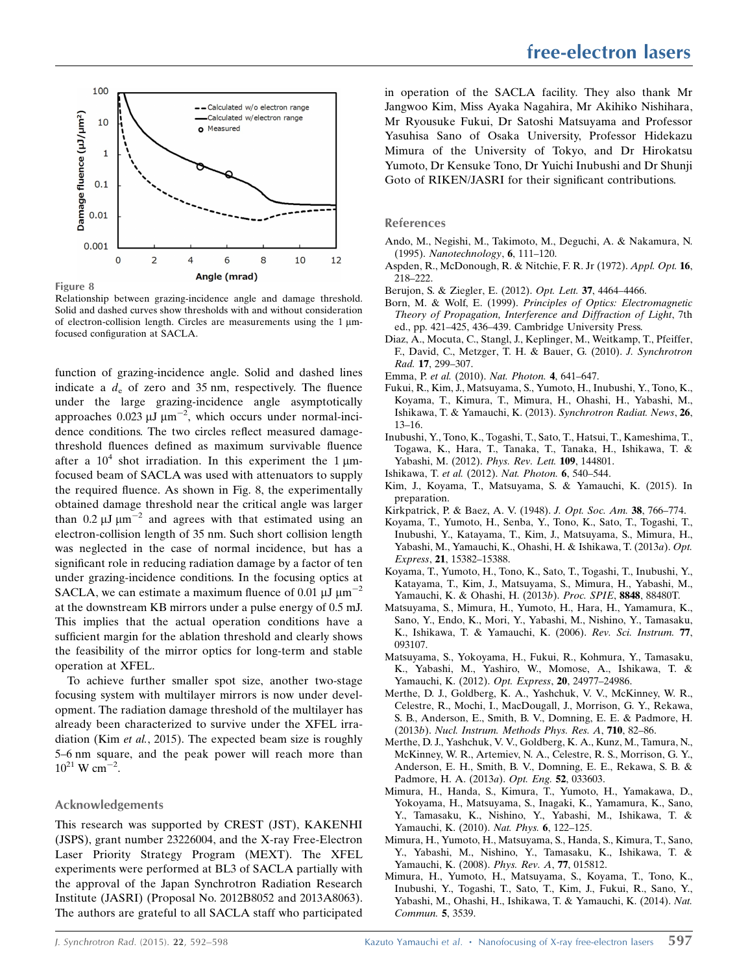

Figure 8

Relationship between grazing-incidence angle and damage threshold. Solid and dashed curves show thresholds with and without consideration of electron-collision length. Circles are measurements using the  $1 \mu m$ focused configuration at SACLA.

function of grazing-incidence angle. Solid and dashed lines indicate a  $d_e$  of zero and 35 nm, respectively. The fluence under the large grazing-incidence angle asymptotically approaches  $0.023 \mu J \mu m^{-2}$ , which occurs under normal-incidence conditions. The two circles reflect measured damagethreshold fluences defined as maximum survivable fluence after a  $10^4$  shot irradiation. In this experiment the 1  $\mu$ mfocused beam of SACLA was used with attenuators to supply the required fluence. As shown in Fig. 8, the experimentally obtained damage threshold near the critical angle was larger than 0.2  $\mu$ J  $\mu$ m<sup>-2</sup> and agrees with that estimated using an electron-collision length of 35 nm. Such short collision length was neglected in the case of normal incidence, but has a significant role in reducing radiation damage by a factor of ten under grazing-incidence conditions. In the focusing optics at SACLA, we can estimate a maximum fluence of 0.01  $\mu$ J  $\mu$ m<sup>-2</sup> at the downstream KB mirrors under a pulse energy of 0.5 mJ. This implies that the actual operation conditions have a sufficient margin for the ablation threshold and clearly shows the feasibility of the mirror optics for long-term and stable operation at XFEL.

To achieve further smaller spot size, another two-stage focusing system with multilayer mirrors is now under development. The radiation damage threshold of the multilayer has already been characterized to survive under the XFEL irradiation (Kim et al., 2015). The expected beam size is roughly 5–6 nm square, and the peak power will reach more than  $10^{21}$  W cm<sup>-2</sup>.

# Acknowledgements

This research was supported by CREST (JST), KAKENHI (JSPS), grant number 23226004, and the X-ray Free-Electron Laser Priority Strategy Program (MEXT). The XFEL experiments were performed at BL3 of SACLA partially with the approval of the Japan Synchrotron Radiation Research Institute (JASRI) (Proposal No. 2012B8052 and 2013A8063). The authors are grateful to all SACLA staff who participated in operation of the SACLA facility. They also thank Mr Jangwoo Kim, Miss Ayaka Nagahira, Mr Akihiko Nishihara, Mr Ryousuke Fukui, Dr Satoshi Matsuyama and Professor Yasuhisa Sano of Osaka University, Professor Hidekazu Mimura of the University of Tokyo, and Dr Hirokatsu Yumoto, Dr Kensuke Tono, Dr Yuichi Inubushi and Dr Shunji Goto of RIKEN/JASRI for their significant contributions.

#### References

- [Ando, M., Negishi, M., Takimoto, M., Deguchi, A. & Nakamura, N.](http://scripts.iucr.org/cgi-bin/cr.cgi?rm=pdfbb&cnor=xj5009&bbid=BB1) (1995). [Nanotechnology](http://scripts.iucr.org/cgi-bin/cr.cgi?rm=pdfbb&cnor=xj5009&bbid=BB1), 6, 111–120.
- [Aspden, R., McDonough, R. & Nitchie, F. R. Jr \(1972\).](http://scripts.iucr.org/cgi-bin/cr.cgi?rm=pdfbb&cnor=xj5009&bbid=BB2) Appl. Opt. 16, [218–222.](http://scripts.iucr.org/cgi-bin/cr.cgi?rm=pdfbb&cnor=xj5009&bbid=BB2)
- [Berujon, S. & Ziegler, E. \(2012\).](http://scripts.iucr.org/cgi-bin/cr.cgi?rm=pdfbb&cnor=xj5009&bbid=BB3) Opt. Lett. 37, 4464–4466.
- Born, M. & Wolf, E. (1999). [Principles of Optics: Electromagnetic](http://scripts.iucr.org/cgi-bin/cr.cgi?rm=pdfbb&cnor=xj5009&bbid=BB4) [Theory of Propagation, Interference and Diffraction of Light](http://scripts.iucr.org/cgi-bin/cr.cgi?rm=pdfbb&cnor=xj5009&bbid=BB4), 7th [ed., pp. 421–425, 436–439. Cambridge University Press.](http://scripts.iucr.org/cgi-bin/cr.cgi?rm=pdfbb&cnor=xj5009&bbid=BB4)
- [Diaz, A., Mocuta, C., Stangl, J., Keplinger, M., Weitkamp, T., Pfeiffer,](http://scripts.iucr.org/cgi-bin/cr.cgi?rm=pdfbb&cnor=xj5009&bbid=BB5) [F., David, C., Metzger, T. H. & Bauer, G. \(2010\).](http://scripts.iucr.org/cgi-bin/cr.cgi?rm=pdfbb&cnor=xj5009&bbid=BB5) J. Synchrotron Rad. 17[, 299–307.](http://scripts.iucr.org/cgi-bin/cr.cgi?rm=pdfbb&cnor=xj5009&bbid=BB5)
- Emma, P. et al. (2010). [Nat. Photon.](http://scripts.iucr.org/cgi-bin/cr.cgi?rm=pdfbb&cnor=xj5009&bbid=BB6) 4, 641–647.
- [Fukui, R., Kim, J., Matsuyama, S., Yumoto, H., Inubushi, Y., Tono, K.,](http://scripts.iucr.org/cgi-bin/cr.cgi?rm=pdfbb&cnor=xj5009&bbid=BB7) [Koyama, T., Kimura, T., Mimura, H., Ohashi, H., Yabashi, M.,](http://scripts.iucr.org/cgi-bin/cr.cgi?rm=pdfbb&cnor=xj5009&bbid=BB7) [Ishikawa, T. & Yamauchi, K. \(2013\).](http://scripts.iucr.org/cgi-bin/cr.cgi?rm=pdfbb&cnor=xj5009&bbid=BB7) Synchrotron Radiat. News, 26, [13–16.](http://scripts.iucr.org/cgi-bin/cr.cgi?rm=pdfbb&cnor=xj5009&bbid=BB7)
- [Inubushi, Y., Tono, K., Togashi, T., Sato, T., Hatsui, T., Kameshima, T.,](http://scripts.iucr.org/cgi-bin/cr.cgi?rm=pdfbb&cnor=xj5009&bbid=BB8) [Togawa, K., Hara, T., Tanaka, T., Tanaka, H., Ishikawa, T. &](http://scripts.iucr.org/cgi-bin/cr.cgi?rm=pdfbb&cnor=xj5009&bbid=BB8) [Yabashi, M. \(2012\).](http://scripts.iucr.org/cgi-bin/cr.cgi?rm=pdfbb&cnor=xj5009&bbid=BB8) Phys. Rev. Lett. 109, 144801.
- Ishikawa, T. et al. (2012). [Nat. Photon.](http://scripts.iucr.org/cgi-bin/cr.cgi?rm=pdfbb&cnor=xj5009&bbid=BB9) 6, 540–544.
- [Kim, J., Koyama, T., Matsuyama, S. & Yamauchi, K. \(2015\). In](http://scripts.iucr.org/cgi-bin/cr.cgi?rm=pdfbb&cnor=xj5009&bbid=BB10) [preparation.](http://scripts.iucr.org/cgi-bin/cr.cgi?rm=pdfbb&cnor=xj5009&bbid=BB10)
- [Kirkpatrick, P. & Baez, A. V. \(1948\).](http://scripts.iucr.org/cgi-bin/cr.cgi?rm=pdfbb&cnor=xj5009&bbid=BB11) J. Opt. Soc. Am. 38, 766–774.
- [Koyama, T., Yumoto, H., Senba, Y., Tono, K., Sato, T., Togashi, T.,](http://scripts.iucr.org/cgi-bin/cr.cgi?rm=pdfbb&cnor=xj5009&bbid=BB12) [Inubushi, Y., Katayama, T., Kim, J., Matsuyama, S., Mimura, H.,](http://scripts.iucr.org/cgi-bin/cr.cgi?rm=pdfbb&cnor=xj5009&bbid=BB12) [Yabashi, M., Yamauchi, K., Ohashi, H. & Ishikawa, T. \(2013](http://scripts.iucr.org/cgi-bin/cr.cgi?rm=pdfbb&cnor=xj5009&bbid=BB12)a). Opt. Express, 21[, 15382–15388.](http://scripts.iucr.org/cgi-bin/cr.cgi?rm=pdfbb&cnor=xj5009&bbid=BB12)
- [Koyama, T., Yumoto, H., Tono, K., Sato, T., Togashi, T., Inubushi, Y.,](http://scripts.iucr.org/cgi-bin/cr.cgi?rm=pdfbb&cnor=xj5009&bbid=BB13) [Katayama, T., Kim, J., Matsuyama, S., Mimura, H., Yabashi, M.,](http://scripts.iucr.org/cgi-bin/cr.cgi?rm=pdfbb&cnor=xj5009&bbid=BB13) [Yamauchi, K. & Ohashi, H. \(2013](http://scripts.iucr.org/cgi-bin/cr.cgi?rm=pdfbb&cnor=xj5009&bbid=BB13)b). Proc. SPIE, 8848, 88480T.
- [Matsuyama, S., Mimura, H., Yumoto, H., Hara, H., Yamamura, K.,](http://scripts.iucr.org/cgi-bin/cr.cgi?rm=pdfbb&cnor=xj5009&bbid=BB14) [Sano, Y., Endo, K., Mori, Y., Yabashi, M., Nishino, Y., Tamasaku,](http://scripts.iucr.org/cgi-bin/cr.cgi?rm=pdfbb&cnor=xj5009&bbid=BB14) [K., Ishikawa, T. & Yamauchi, K. \(2006\).](http://scripts.iucr.org/cgi-bin/cr.cgi?rm=pdfbb&cnor=xj5009&bbid=BB14) Rev. Sci. Instrum. 77, [093107.](http://scripts.iucr.org/cgi-bin/cr.cgi?rm=pdfbb&cnor=xj5009&bbid=BB14)
- [Matsuyama, S., Yokoyama, H., Fukui, R., Kohmura, Y., Tamasaku,](http://scripts.iucr.org/cgi-bin/cr.cgi?rm=pdfbb&cnor=xj5009&bbid=BB15) [K., Yabashi, M., Yashiro, W., Momose, A., Ishikawa, T. &](http://scripts.iucr.org/cgi-bin/cr.cgi?rm=pdfbb&cnor=xj5009&bbid=BB15) [Yamauchi, K. \(2012\).](http://scripts.iucr.org/cgi-bin/cr.cgi?rm=pdfbb&cnor=xj5009&bbid=BB15) Opt. Express, 20, 24977–24986.
- [Merthe, D. J., Goldberg, K. A., Yashchuk, V. V., McKinney, W. R.,](http://scripts.iucr.org/cgi-bin/cr.cgi?rm=pdfbb&cnor=xj5009&bbid=BB16) [Celestre, R., Mochi, I., MacDougall, J., Morrison, G. Y., Rekawa,](http://scripts.iucr.org/cgi-bin/cr.cgi?rm=pdfbb&cnor=xj5009&bbid=BB16) [S. B., Anderson, E., Smith, B. V., Domning, E. E. & Padmore, H.](http://scripts.iucr.org/cgi-bin/cr.cgi?rm=pdfbb&cnor=xj5009&bbid=BB16) (2013b). [Nucl. Instrum. Methods Phys. Res. A](http://scripts.iucr.org/cgi-bin/cr.cgi?rm=pdfbb&cnor=xj5009&bbid=BB16), 710, 82–86.
- [Merthe, D. J., Yashchuk, V. V., Goldberg, K. A., Kunz, M., Tamura, N.,](http://scripts.iucr.org/cgi-bin/cr.cgi?rm=pdfbb&cnor=xj5009&bbid=BB17) [McKinney, W. R., Artemiev, N. A., Celestre, R. S., Morrison, G. Y.,](http://scripts.iucr.org/cgi-bin/cr.cgi?rm=pdfbb&cnor=xj5009&bbid=BB17) [Anderson, E. H., Smith, B. V., Domning, E. E., Rekawa, S. B. &](http://scripts.iucr.org/cgi-bin/cr.cgi?rm=pdfbb&cnor=xj5009&bbid=BB17) [Padmore, H. A. \(2013](http://scripts.iucr.org/cgi-bin/cr.cgi?rm=pdfbb&cnor=xj5009&bbid=BB17)a). Opt. Eng. 52, 033603.
- [Mimura, H., Handa, S., Kimura, T., Yumoto, H., Yamakawa, D.,](http://scripts.iucr.org/cgi-bin/cr.cgi?rm=pdfbb&cnor=xj5009&bbid=BB18) [Yokoyama, H., Matsuyama, S., Inagaki, K., Yamamura, K., Sano,](http://scripts.iucr.org/cgi-bin/cr.cgi?rm=pdfbb&cnor=xj5009&bbid=BB18) [Y., Tamasaku, K., Nishino, Y., Yabashi, M., Ishikawa, T. &](http://scripts.iucr.org/cgi-bin/cr.cgi?rm=pdfbb&cnor=xj5009&bbid=BB18) [Yamauchi, K. \(2010\).](http://scripts.iucr.org/cgi-bin/cr.cgi?rm=pdfbb&cnor=xj5009&bbid=BB18) Nat. Phys. 6, 122–125.
- [Mimura, H., Yumoto, H., Matsuyama, S., Handa, S., Kimura, T., Sano,](http://scripts.iucr.org/cgi-bin/cr.cgi?rm=pdfbb&cnor=xj5009&bbid=BB19) [Y., Yabashi, M., Nishino, Y., Tamasaku, K., Ishikawa, T. &](http://scripts.iucr.org/cgi-bin/cr.cgi?rm=pdfbb&cnor=xj5009&bbid=BB19) [Yamauchi, K. \(2008\).](http://scripts.iucr.org/cgi-bin/cr.cgi?rm=pdfbb&cnor=xj5009&bbid=BB19) Phys. Rev. A, 77, 015812.
- [Mimura, H., Yumoto, H., Matsuyama, S., Koyama, T., Tono, K.,](http://scripts.iucr.org/cgi-bin/cr.cgi?rm=pdfbb&cnor=xj5009&bbid=BB20) [Inubushi, Y., Togashi, T., Sato, T., Kim, J., Fukui, R., Sano, Y.,](http://scripts.iucr.org/cgi-bin/cr.cgi?rm=pdfbb&cnor=xj5009&bbid=BB20) [Yabashi, M., Ohashi, H., Ishikawa, T. & Yamauchi, K. \(2014\).](http://scripts.iucr.org/cgi-bin/cr.cgi?rm=pdfbb&cnor=xj5009&bbid=BB20) Nat. [Commun.](http://scripts.iucr.org/cgi-bin/cr.cgi?rm=pdfbb&cnor=xj5009&bbid=BB20) 5, 3539.